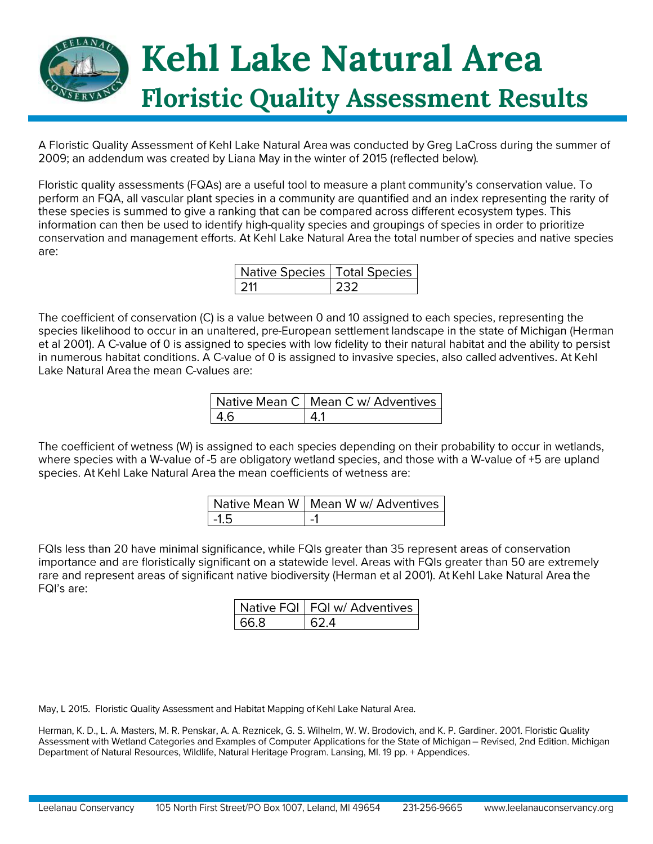

A Floristic Quality Assessment of Kehl Lake Natural Area was conducted by Greg LaCross during the summer of 2009; an addendum was created by Liana May in the winter of 2015 (reflected below).

Floristic quality assessments (FQAs) are a useful tool to measure a plant community's conservation value. To perform an FQA, all vascular plant species in a community are quantified and an index representing the rarity of these species is summed to give a ranking that can be compared across different ecosystem types. This information can then be used to identify high-quality species and groupings of species in order to prioritize conservation and management efforts. At Kehl Lake Natural Area the total number of species and native species are:

| Native Species   Total Species |  |  |  |  |  |  |  |
|--------------------------------|--|--|--|--|--|--|--|
|                                |  |  |  |  |  |  |  |

The coefficient of conservation (C) is a value between 0 and 10 assigned to each species, representing the species likelihood to occur in an unaltered, pre-European settlement landscape in the state of Michigan (Herman et al 2001). A C-value of 0 is assigned to species with low fidelity to their natural habitat and the ability to persist in numerous habitat conditions. A C-value of 0 is assigned to invasive species, also called adventives. At Kehl Lake Natural Area the mean C-values are:

|      | Native Mean C   Mean C w/ Adventives |
|------|--------------------------------------|
| -4.6 |                                      |

The coefficient of wetness (W) is assigned to each species depending on their probability to occur in wetlands, where species with a W-value of -5 are obligatory wetland species, and those with a W-value of +5 are upland species. At Kehl Lake Natural Area the mean coefficients of wetness are:

|         | Native Mean W   Mean W w/ Adventives |
|---------|--------------------------------------|
| $-1\,5$ | $\mathbf{r}$ $\mathbf{r}$            |

FQIs less than 20 have minimal significance, while FQIs greater than 35 represent areas of conservation importance and are floristically significant on a statewide level. Areas with FQIs greater than 50 are extremely rare and represent areas of significant native biodiversity (Herman et al 2001). At Kehl Lake Natural Area the FQI's are:

|        | Native FQI   FQI w/ Adventives |
|--------|--------------------------------|
| l 66.8 | 1624                           |

May, L 2015. Floristic Quality Assessment and Habitat Mapping of Kehl Lake Natural Area.

Herman, K. D., L. A. Masters, M. R. Penskar, A. A. Reznicek, G. S. Wilhelm, W. W. Brodovich, and K. P. Gardiner. 2001. Floristic Quality Assessment with Wetland Categories and Examples of Computer Applications for the State of Michigan - Revised, 2nd Edition. Michigan Department of Natural Resources, Wildlife, Natural Heritage Program. Lansing, MI. 19 pp. + Appendices.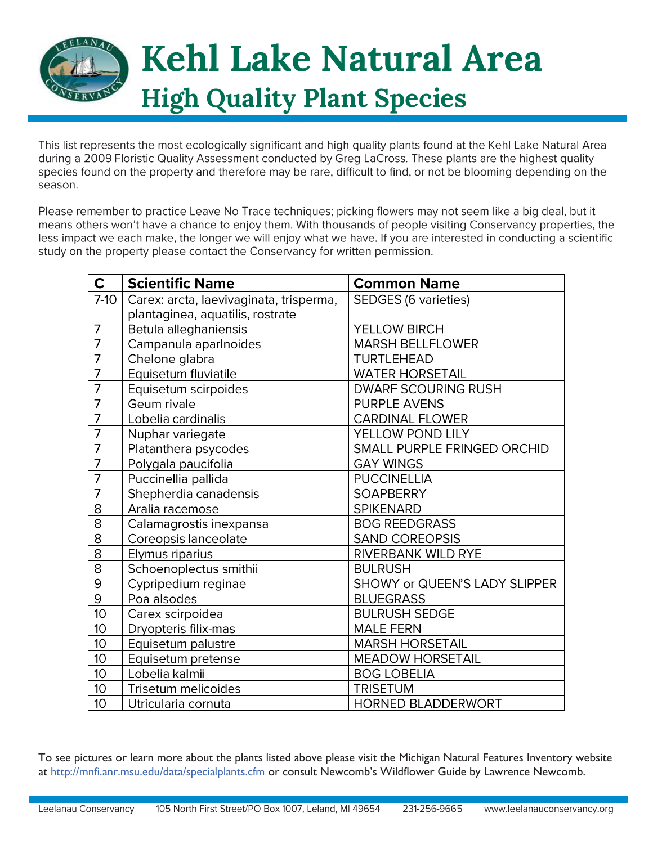

This list represents the most ecologically significant and high quality plants found at the Kehl Lake Natural Area during a 2009 Floristic Quality Assessment conducted by Greg LaCross. These plants are the highest quality species found on the property and therefore may be rare, difficult to find, or not be blooming depending on the season.

Please remember to practice Leave No Trace techniques; picking flowers may not seem like a big deal, but it means others won't have a chance to enjoy them. With thousands of people visiting Conservancy properties, the less impact we each make, the longer we will enjoy what we have. If you are interested in conducting a scientific study on the property please contact the Conservancy for written permission.

| $\mathbf C$    | <b>Scientific Name</b>                  | <b>Common Name</b>            |
|----------------|-----------------------------------------|-------------------------------|
| $7-10$         | Carex: arcta, laevivaginata, trisperma, | <b>SEDGES (6 varieties)</b>   |
|                | plantaginea, aquatilis, rostrate        |                               |
| $\overline{7}$ | Betula alleghaniensis                   | YELLOW BIRCH                  |
| $\overline{7}$ | Campanula aparlnoides                   | <b>MARSH BELLFLOWER</b>       |
| $\overline{7}$ | Chelone glabra                          | <b>TURTLEHEAD</b>             |
| $\overline{7}$ | Equisetum fluviatile                    | <b>WATER HORSETAIL</b>        |
| $\overline{7}$ | Equisetum scirpoides                    | <b>DWARF SCOURING RUSH</b>    |
| $\overline{7}$ | Geum rivale                             | <b>PURPLE AVENS</b>           |
| $\overline{7}$ | Lobelia cardinalis                      | <b>CARDINAL FLOWER</b>        |
| 7              | Nuphar variegate                        | YELLOW POND LILY              |
| $\overline{7}$ | Platanthera psycodes                    | SMALL PURPLE FRINGED ORCHID   |
| $\overline{7}$ | Polygala paucifolia                     | <b>GAY WINGS</b>              |
| $\overline{7}$ | Puccinellia pallida                     | <b>PUCCINELLIA</b>            |
| $\overline{7}$ | Shepherdia canadensis                   | <b>SOAPBERRY</b>              |
| 8              | Aralia racemose                         | <b>SPIKENARD</b>              |
| 8              | Calamagrostis inexpansa                 | <b>BOG REEDGRASS</b>          |
| 8              | Coreopsis lanceolate                    | SAND COREOPSIS                |
| 8              | Elymus riparius                         | RIVERBANK WILD RYE            |
| 8              | Schoenoplectus smithii                  | <b>BULRUSH</b>                |
| $\Theta$       | Cypripedium reginae                     | SHOWY or QUEEN'S LADY SLIPPER |
| $\overline{9}$ | Poa alsodes                             | <b>BLUEGRASS</b>              |
| 10             | Carex scirpoidea                        | <b>BULRUSH SEDGE</b>          |
| 10             | Dryopteris filix-mas                    | <b>MALE FERN</b>              |
| 10             | Equisetum palustre                      | <b>MARSH HORSETAIL</b>        |
| 10             | Equisetum pretense                      | <b>MEADOW HORSETAIL</b>       |
| 10             | Lobelia kalmii                          | <b>BOG LOBELIA</b>            |
| 10             | Trisetum melicoides                     | <b>TRISETUM</b>               |
| 10             | Utricularia cornuta                     | <b>HORNED BLADDERWORT</b>     |

To see pictures or learn more about the plants listed above please visit the Michigan Natural Features Inventory website at http://mnfi.anr.msu.edu/data/specialplants.cfm or consult Newcomb's Wildflower Guide by Lawrence Newcomb.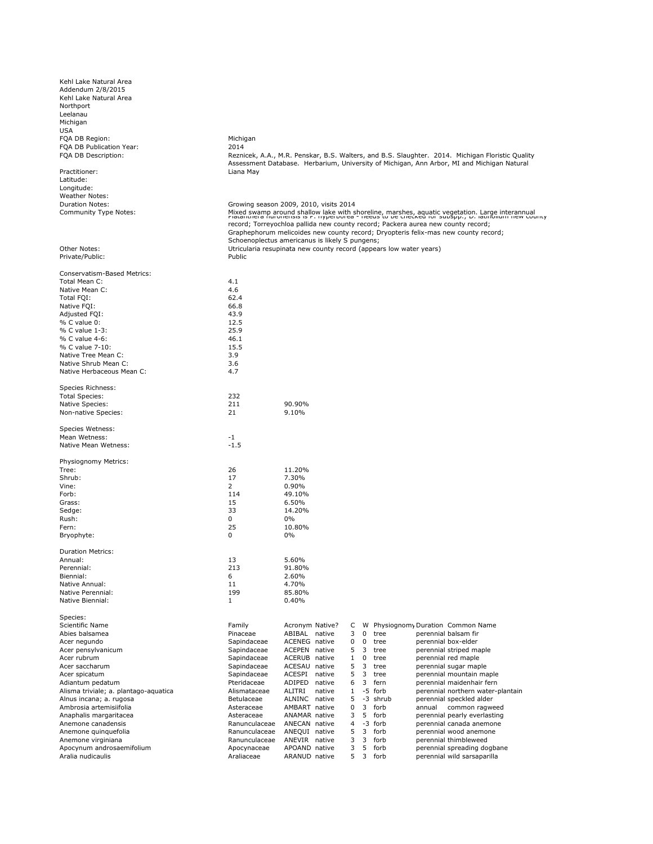Kehl Lake Natural Area Addendum 2/8/2015 Kehl Lake Natural Area Northport Leelanau Leon<br>Michigan USA FQA DB Region: Michigan<br>
FQA DB Publication Year: Michigan<br>
2014 FQA DB Publication Year: FQA DB Description:

Practitioner: Contractioner: Contractioner: Contractioner and Liana May Latitude: Longitude: Weather Notes: Duration Notes: Community Type Notes:

Other Notes: Private/Public: Private/Public:

|        | Conservatism-Based Metrics:           |                |                      |        |              |          |          |                                    |
|--------|---------------------------------------|----------------|----------------------|--------|--------------|----------|----------|------------------------------------|
|        | Total Mean C:                         | 4.1            |                      |        |              |          |          |                                    |
|        | Native Mean C:                        | 4.6            |                      |        |              |          |          |                                    |
|        | Total FOI:                            | 62.4           |                      |        |              |          |          |                                    |
|        | Native FOI:                           | 66.8           |                      |        |              |          |          |                                    |
|        | Adjusted FQI:                         | 43.9           |                      |        |              |          |          |                                    |
|        | % C value 0:                          | 12.5           |                      |        |              |          |          |                                    |
|        | % C value 1-3:                        | 25.9           |                      |        |              |          |          |                                    |
|        | % C value 4-6:                        | 46.1           |                      |        |              |          |          |                                    |
|        | % C value 7-10:                       | 15.5           |                      |        |              |          |          |                                    |
|        | Native Tree Mean C:                   | 3.9            |                      |        |              |          |          |                                    |
|        | Native Shrub Mean C:                  |                |                      |        |              |          |          |                                    |
|        |                                       | 3.6            |                      |        |              |          |          |                                    |
|        | Native Herbaceous Mean C:             | 4.7            |                      |        |              |          |          |                                    |
|        | Species Richness:                     |                |                      |        |              |          |          |                                    |
|        | <b>Total Species:</b>                 | 232            |                      |        |              |          |          |                                    |
|        | Native Species:                       | 211            | 90.90%               |        |              |          |          |                                    |
|        | Non-native Species:                   | 21             | 9.10%                |        |              |          |          |                                    |
|        |                                       |                |                      |        |              |          |          |                                    |
|        | Species Wetness:                      |                |                      |        |              |          |          |                                    |
|        | Mean Wetness:                         | $-1$           |                      |        |              |          |          |                                    |
|        | Native Mean Wetness:                  | $-1.5$         |                      |        |              |          |          |                                    |
|        | Physiognomy Metrics:                  |                |                      |        |              |          |          |                                    |
| Tree:  |                                       | 26             | 11.20%               |        |              |          |          |                                    |
| Shrub: |                                       | 17             | 7.30%                |        |              |          |          |                                    |
| Vine:  |                                       | $\overline{2}$ | 0.90%                |        |              |          |          |                                    |
| Forb:  |                                       | 114            | 49.10%               |        |              |          |          |                                    |
| Grass: |                                       | 15             | 6.50%                |        |              |          |          |                                    |
| Sedge: |                                       | 33             | 14.20%               |        |              |          |          |                                    |
| Rush:  |                                       | $\Omega$       | 0%                   |        |              |          |          |                                    |
| Fern:  |                                       | 25             | 10.80%               |        |              |          |          |                                    |
|        | Bryophyte:                            | $\Omega$       | 0%                   |        |              |          |          |                                    |
|        | <b>Duration Metrics:</b>              |                |                      |        |              |          |          |                                    |
|        | Annual:                               | 13             | 5.60%                |        |              |          |          |                                    |
|        | Perennial:                            | 213            | 91.80%               |        |              |          |          |                                    |
|        | Biennial:                             | 6              | 2.60%                |        |              |          |          |                                    |
|        | Native Annual:                        | 11             | 4.70%                |        |              |          |          |                                    |
|        | Native Perennial:                     | 199            | 85.80%               |        |              |          |          |                                    |
|        | Native Biennial:                      | $\mathbf{1}$   | 0.40%                |        |              |          |          |                                    |
|        |                                       |                |                      |        |              |          |          |                                    |
|        | Species:                              |                |                      |        |              |          |          |                                    |
|        | Scientific Name                       | Family         | Acronym Native?      |        | C            |          |          | W Physiognomy Duration Common Name |
|        | Abies balsamea                        | Pinaceae       | ABIBAL native        |        | 3            | $\Omega$ | tree     | perennial balsam fir               |
|        | Acer negundo                          | Sapindaceae    | ACENEG native        |        | 0            | 0        | tree     | perennial box-elder                |
|        | Acer pensylvanicum                    | Sapindaceae    | ACEPEN native        |        | 5            | 3        | tree     | perennial striped maple            |
|        | Acer rubrum                           | Sapindaceae    | ACERUB native        |        | $\mathbf{1}$ | 0        | tree     | perennial red maple                |
|        | Acer saccharum                        | Sapindaceae    | ACESAU native        |        | 5            | 3        | tree     | perennial sugar maple              |
|        | Acer spicatum                         | Sapindaceae    | ACESPI               | native | 5            | 3        | tree     | perennial mountain maple           |
|        | Adiantum pedatum                      | Pteridaceae    | ADIPED               | native | 6            | 3        | fern     | perennial maidenhair fern          |
|        | Alisma triviale; a. plantago-aquatica | Alismataceae   | ALITRI               | native | $\mathbf{1}$ |          | -5 forb  | perennial northern water-plantain  |
|        | Alnus incana; a. rugosa               | Betulaceae     | ALNINC native        |        | 5            |          | -3 shrub | perennial speckled alder           |
|        | Ambrosia artemisiifolia               | Asteraceae     | AMBART native        |        | $\Omega$     | 3        | forb     | annual common ragweed              |
|        | Anaphalis margaritacea                | Asteraceae     | <b>ANAMAR</b> native |        | 3            | 5        | forb     | perennial pearly everlasting       |
|        | Anemone canadensis                    | Ranunculaceae  | ANECAN native        |        | 4            |          | -3 forb  | perennial canada anemone           |
|        | Anemone quinquefolia                  | Ranunculaceae  | ANEQUI native        |        | 5            | 3        | forb     | perennial wood anemone             |
|        | Anemone virginiana                    | Ranunculaceae  | ANEVIR native        |        | 3            | 3        | forb     | perennial thimbleweed              |

Anemone virginiana androsaemifolium androsae ANEVIR native 3 3 forb perennial thimbleweed<br>Apocynum androsaemifolium androsae APOAND native 3 5 forb perennial spreading do Apocynum androsaemifolium **Apocynaceae** APOAND native 3 5 forb perennial spreading dogbane<br>Aralia nudicaulis **Aralia spreading and Araliaceae** ARANUD native 5 3 forb perennial wild sarsaparilla

Reznicek, A.A., M.R. Penskar, B.S. Walters, and B.S. Slaughter. 2014. Michigan Floristic Quality Assessment Database. Herbarium, University of Michigan, Ann Arbor, MI and Michigan Natural

## Growing season 2009, 2010, visits 2014

Mixed swamp around shallow lake with shoreline, marshes, aquatic vegetation. Large interannual Platanthera huronensis is P. hyperborea - needs to be checked for subspp.; D. latiflomin new county record; Torreyochloa pallida new county record; Packera aurea new county record; Graphephorum melicoides new county record; Dryopteris felix-mas new county record; Schoenoplectus americanus is likely S pungens; Utricularia resupinata new county record (appears low water years)

perennial wild sarsaparilla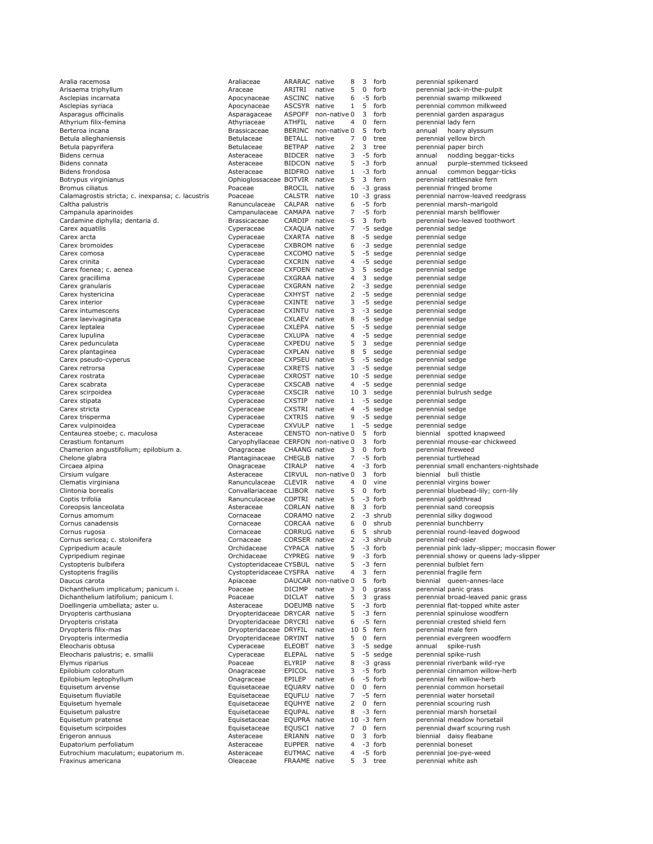| Aralia racemosa                                           | Araliaceae                                  | ARARAC native                  |                     | 8                   | 3           | forb               |                                    | perennial spikenard                                  |
|-----------------------------------------------------------|---------------------------------------------|--------------------------------|---------------------|---------------------|-------------|--------------------|------------------------------------|------------------------------------------------------|
| Arisaema triphyllum                                       | Araceae                                     | ARITRI                         | native              | 5                   | 0           | forb               |                                    | perennial jack-in-the-pulpit                         |
| Asclepias incarnata                                       | Apocynaceae                                 | ASCINC native                  |                     | 6                   |             | -5 forb            |                                    | perennial swamp milkweed                             |
| Asclepias syriaca                                         | Apocynaceae                                 | ASCSYR native                  |                     | $\mathbf{1}$        | 5           | forb               |                                    | perennial common milkweed                            |
| Asparagus officinalis                                     | Asparagaceae                                |                                | ASPOFF non-native 0 |                     | 3           | forb               |                                    | perennial garden asparagus                           |
| Athyrium filix-femina                                     | Athyriaceae                                 | ATHFIL                         | native              | 4                   | 0           | fern               |                                    | perennial lady fern                                  |
| Berteroa incana                                           | Brassicaceae                                |                                | BERINC non-native 0 |                     | 5           | forb               | annual                             | hoary alyssum                                        |
| Betula alleghaniensis                                     | Betulaceae                                  | BETALL native                  |                     | 7                   | 0           | tree               |                                    | perennial yellow birch                               |
| Betula papyrifera                                         | <b>Betulaceae</b>                           | <b>BETPAP</b>                  | native              | 2                   | 3           | tree               |                                    | perennial paper birch                                |
| Bidens cernua                                             | Asteraceae                                  | BIDCER native                  |                     | 3<br>5              |             | -5 forb            | annual                             | nodding beggar-ticks                                 |
| Bidens connata<br>Bidens frondosa                         | Asteraceae                                  | BIDCON native                  |                     | $\mathbf{1}$        |             | -3 forb<br>-3 forb | annual<br>annual                   | purple-stemmed tickseed                              |
| Botrypus virginianus                                      | Asteraceae<br>Ophioglossaceae BOTVIR native | BIDFRO native                  |                     | 5                   | 3           | fern               |                                    | common beggar-ticks<br>perennial rattlesnake fern    |
| Bromus ciliatus                                           | Poaceae                                     | BROCIL native                  |                     | 6                   |             | -3 grass           |                                    | perennial fringed brome                              |
| Calamagrostis stricta; c. inexpansa; c. lacustris         | Poaceae                                     | CALSTR native                  |                     |                     |             | $10 - 3$ grass     |                                    | perennial narrow-leaved reedgrass                    |
| Caltha palustris                                          | Ranunculaceae                               | CALPAR native                  |                     | 6                   |             | -5 forb            |                                    | perennial marsh-marigold                             |
| Campanula aparinoides                                     | Campanulaceae                               | CAMAPA native                  |                     | 7                   |             | -5 forb            |                                    | perennial marsh bellflower                           |
| Cardamine diphylla; dentaria d.                           | Brassicaceae                                | CARDIP native                  |                     | 5                   | 3           | forb               |                                    | perennial two-leaved toothwort                       |
| Carex aquatilis                                           | Cyperaceae                                  | CXAQUA native                  |                     | 7                   |             | -5 sedge           | perennial sedge                    |                                                      |
| Carex arcta                                               | Cyperaceae                                  | CXARTA native                  |                     | 8                   |             | -5 sedge           | perennial sedge                    |                                                      |
| Carex bromoides                                           | Cyperaceae                                  | <b>CXBROM</b> native           |                     | 6                   |             | -3 sedge           | perennial sedge                    |                                                      |
| Carex comosa                                              | Cyperaceae                                  | CXCOMO native                  |                     | 5                   |             | -5 sedge           | perennial sedge                    |                                                      |
| Carex crinita                                             | Cyperaceae                                  | CXCRIN native                  |                     | 4                   |             | -5 sedge           | perennial sedge                    |                                                      |
| Carex foenea; c. aenea                                    | Cyperaceae                                  | CXFOEN native                  |                     | 3                   | 5           | sedge              | perennial sedge                    |                                                      |
| Carex gracillima                                          | Cyperaceae                                  | CXGRAA native                  |                     | 4                   | 3           | sedge              | perennial sedge                    |                                                      |
| Carex granularis                                          | Cyperaceae                                  | CXGRAN native                  |                     | $\overline{2}$      |             | -3 sedge           | perennial sedge                    |                                                      |
| Carex hystericina                                         | Cyperaceae                                  | CXHYST native                  |                     | 2                   |             | -5 sedge           | perennial sedge                    |                                                      |
| Carex interior                                            | Cyperaceae                                  | CXINTE native                  |                     | 3                   |             | -5 sedge           | perennial sedge                    |                                                      |
| Carex intumescens                                         | Cyperaceae                                  | CXINTU native                  |                     | 3                   |             | -3 sedge           | perennial sedge                    |                                                      |
| Carex laevivaginata                                       | Cyperaceae                                  | CXLAEV native                  |                     | 8                   |             | -5 sedge           | perennial sedge                    |                                                      |
| Carex leptalea                                            | Cyperaceae                                  | CXLEPA native                  |                     | 5<br>$\overline{4}$ |             | -5 sedge           | perennial sedge                    |                                                      |
| Carex lupulina                                            | Cyperaceae<br>Cyperaceae                    | CXLUPA native<br>CXPEDU native |                     | 5                   | 3           | -5 sedge<br>sedge  | perennial sedge<br>perennial sedge |                                                      |
| Carex pedunculata                                         |                                             | CXPLAN native                  |                     | 8                   | 5           | sedge              | perennial sedge                    |                                                      |
| Carex plantaginea<br>Carex pseudo-cyperus                 | Cyperaceae<br>Cyperaceae                    | CXPSEU native                  |                     | 5                   |             | -5 sedge           | perennial sedge                    |                                                      |
| Carex retrorsa                                            | Cyperaceae                                  | CXRETS native                  |                     | 3                   |             | -5 sedge           | perennial sedge                    |                                                      |
| Carex rostrata                                            | Cyperaceae                                  | CXROST native                  |                     |                     |             | $10 - 5$ sedge     | perennial sedge                    |                                                      |
| Carex scabrata                                            | Cyperaceae                                  | CXSCAB native                  |                     | 4                   |             | -5 sedge           | perennial sedge                    |                                                      |
| Carex scirpoidea                                          | Cyperaceae                                  | CXSCIR native                  |                     | 10 3                |             | sedge              |                                    | perennial bulrush sedge                              |
| Carex stipata                                             | Cyperaceae                                  | <b>CXSTIP</b>                  | native              | $\mathbf{1}$        |             | -5 sedge           | perennial sedge                    |                                                      |
| Carex stricta                                             | Cyperaceae                                  | CXSTRI native                  |                     | 4                   |             | -5 sedge           | perennial sedge                    |                                                      |
| Carex trisperma                                           | Cyperaceae                                  | <b>CXTRIS</b>                  | native              | 9                   |             | -5 sedge           | perennial sedge                    |                                                      |
| Carex vulpinoidea                                         | Cyperaceae                                  | CXVULP native                  |                     | $\mathbf{1}$        |             | -5 sedge           | perennial sedge                    |                                                      |
| Centaurea stoebe; c. maculosa                             | Asteraceae                                  |                                | CENSTO non-native 0 |                     | 5           | forb               |                                    | biennial spotted knapweed                            |
| Cerastium fontanum                                        | Caryophyllaceae CERFON non-native 0         |                                |                     |                     | 3           | forb               |                                    | perennial mouse-ear chickweed                        |
| Chamerion angustifolium; epilobium a.                     | Onagraceae                                  | CHAANG native                  |                     | 3                   | $\mathbf 0$ | forb               | perennial fireweed                 |                                                      |
| Chelone glabra                                            | Plantaginaceae                              | CHEGLB native                  |                     | 7                   |             | -5 forb            |                                    | perennial turtlehead                                 |
| Circaea alpina                                            | Onagraceae                                  | <b>CIRALP</b>                  | native              | $\overline{4}$      |             | -3 forb            |                                    | perennial small enchanters-nightsh                   |
| Cirsium vulgare                                           | Asteraceae                                  |                                | CIRVUL non-native 0 |                     | 3           | forb               |                                    | biennial bull thistle                                |
| Clematis virginiana                                       | Ranunculaceae                               | CLEVIR                         | native              | 4                   | $\mathbf 0$ | vine               |                                    | perennial virgins bower                              |
| Clintonia borealis                                        | Convallariaceae                             | CLIBOR native                  |                     | 5<br>5              | 0           | forb               |                                    | perennial bluebead-lily; corn-lily                   |
| Coptis trifolia                                           | Ranunculaceae                               | COPTRI native<br>CORLAN native |                     | 8                   | 3           | -3 forb<br>forb    |                                    | perennial goldthread                                 |
| Coreopsis lanceolata<br>Cornus amomum                     | Asteraceae<br>Cornaceae                     | CORAMO native                  |                     | $\overline{2}$      |             | -3 shrub           |                                    | perennial sand coreopsis<br>perennial silky dogwood  |
| Cornus canadensis                                         | Cornaceae                                   | CORCAA native                  |                     | 6                   | 0           | shrub              |                                    | perennial bunchberry                                 |
| Cornus rugosa                                             | Cornaceae                                   | CORRUG native                  |                     | 6                   | 5           | shrub              |                                    | perennial round-leaved dogwood                       |
| Cornus sericea; c. stolonifera                            | Cornaceae                                   | CORSER native                  |                     | $\overline{2}$      |             | -3 shrub           |                                    | perennial red-osier                                  |
| Cypripedium acaule                                        | Orchidaceae                                 | CYPACA native                  |                     | 5                   |             | -3 forb            |                                    | perennial pink lady-slipper; moccas                  |
| Cypripedium reginae                                       | Orchidaceae                                 | CYPREG native                  |                     | 9                   |             | -3 forb            |                                    | perennial showy or queens lady-slip                  |
| Cystopteris bulbifera                                     | Cystopteridaceae CYSBUL native              |                                |                     | 5                   |             | -3 fern            |                                    | perennial bulblet fern                               |
| Cystopteris fragilis                                      | Cystopteridaceae CYSFRA native              |                                |                     | 4                   | 3           | fern               |                                    | perennial fragile fern                               |
| Daucus carota                                             | Apiaceae                                    |                                | DAUCAR non-native 0 |                     | 5           | forb               |                                    | biennial queen-annes-lace                            |
| Dichanthelium implicatum; panicum i.                      | Poaceae                                     | <b>DICIMP</b>                  | native              | 3                   | 0           | grass              |                                    | perennial panic grass                                |
| Dichanthelium latifolium; panicum I.                      |                                             |                                |                     |                     | 3           |                    |                                    |                                                      |
|                                                           | Poaceae                                     | DICLAT native                  |                     | 5                   |             | grass              |                                    | perennial broad-leaved panic grass                   |
| Doellingeria umbellata; aster u.                          | Asteraceae                                  | DOEUMB native                  |                     | 5                   |             | -3 forb            |                                    | perennial flat-topped white aster                    |
| Dryopteris carthusiana                                    | Dryopteridaceae DRYCAR native               |                                |                     | 5                   |             | -3 fern            |                                    | perennial spinulose woodfern                         |
| Dryopteris cristata                                       | Dryopteridaceae DRYCRI native               |                                |                     | 6                   |             | -5 fern            |                                    | perennial crested shield fern                        |
| Dryopteris filix-mas                                      | Dryopteridaceae DRYFIL                      |                                | native              | 10                  | 5           | fern               |                                    | perennial male fern                                  |
| Dryopteris intermedia                                     | Dryopteridaceae DRYINT native               |                                |                     | 5                   | $\mathbf 0$ | fern               |                                    | perennial evergreen woodfern                         |
| Eleocharis obtusa                                         | Cyperaceae                                  | ELEOBT native                  |                     | 3                   |             | -5 sedge           | annual                             | spike-rush                                           |
| Eleocharis palustris; e. smallii                          | Cyperaceae                                  | ELEPAL                         | native              | 5                   |             | -5 sedge           |                                    | perennial spike-rush                                 |
| Elymus riparius                                           | Poaceae                                     | ELYRIP                         | native              | 8                   |             | -3 grass           |                                    | perennial riverbank wild-rye                         |
| Epilobium coloratum                                       | Onagraceae                                  | EPICOL                         | native              | 3                   |             | -5 forb            |                                    | perennial cinnamon willow-herb                       |
| Epilobium leptophyllum                                    | Onagraceae                                  | EPILEP                         | native              | 6                   |             | -5 forb            |                                    | perennial fen willow-herb                            |
| Equisetum arvense                                         | Equisetaceae                                | EQUARV native                  |                     | 0                   | 0           | fern               |                                    | perennial common horsetail                           |
| Equisetum fluviatile                                      | Equisetaceae                                | EQUFLU native                  |                     | 7<br>$\overline{2}$ | 0           | -5 fern<br>fern    |                                    | perennial water horsetail                            |
| Equisetum hyemale<br>Equisetum palustre                   | Equisetaceae<br>Equisetaceae                | EQUHYE native<br>EQUPAL native |                     | 8                   |             | -3 fern            |                                    | perennial scouring rush<br>perennial marsh horsetail |
| Equisetum pratense                                        | Equisetaceae                                | EQUPRA native                  |                     |                     |             | 10 -3 fern         |                                    | perennial meadow horsetail                           |
| Equisetum scirpoides                                      | Equisetaceae                                | EQUSCI native                  |                     | 7                   | 0           | fern               |                                    | perennial dwarf scouring rush                        |
| Erigeron annuus                                           | Asteraceae                                  | ERIANN native                  |                     | 0                   | 3           | forb               |                                    | biennial daisy fleabane                              |
| Eupatorium perfoliatum                                    | Asteraceae                                  | EUPPER native                  |                     | 4                   |             | -3 forb            | perennial boneset                  |                                                      |
| Eutrochium maculatum; eupatorium m.<br>Fraxinus americana | Asteraceae<br>Oleaceae                      | EUTMAC native<br>FRAAME native |                     | 4<br>5              |             | -5 forb<br>3 tree  |                                    | perennial joe-pye-weed<br>perennial white ash        |

non milkweed<br>en asparagus mon beggar-ticks ow-leaved reedgrass ow leaved reeagle<br>sh-marigold<br>-leaved toothwort se-ear chickweed<br>eed ll enchanters-nightshade<br>thistle monia<br>bead-lily; corn-lily<br>Ithread Cornus Cornaceae<br>Cornaceae Cornaceae<br>Cornaceae<br>Cornaceae<br>Cornaceae lady-slipper; moccasin flower Cypripedium region region region of the Syran percent or the 9 statement of the 9 statement of the 1 for the 1 form per<br>
Show the ferm perfect of the show of the show or queens lady-slipper . . .<br>drive woodfern<br>ed shield fern green woodfern e-rush<br>:bank wild-rye<br>amon willow-herb<br>willow-herb f scouring rush<br><sup>/</sup> fleabane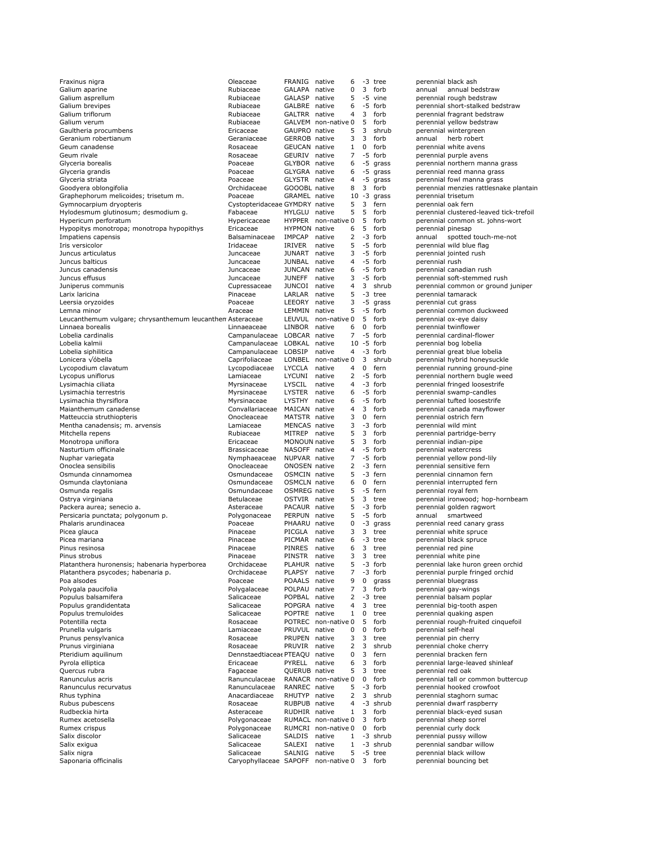| Fraxinus nigra                                            | Oleaceae                       | FRANIG native        |                     | 6              |              | -3 tree        |                     | perennial black ash          |
|-----------------------------------------------------------|--------------------------------|----------------------|---------------------|----------------|--------------|----------------|---------------------|------------------------------|
| Galium aparine                                            | Rubiaceae                      | GALAPA native        |                     | 0              | 3            | forb           | annual              | annual bedstraw              |
|                                                           |                                |                      |                     |                |              |                |                     |                              |
| Galium asprellum                                          | Rubiaceae                      | GALASP native        |                     | 5              |              | -5 vine        |                     | perennial rough bedstraw     |
| Galium brevipes                                           | Rubiaceae                      | GALBRE native        |                     | 6              |              | -5 forb        |                     | perennial short-stalked be   |
| Galium triflorum                                          | Rubiaceae                      | GALTRR native        |                     | $\overline{4}$ | 3            | forb           |                     | perennial fragrant bedstra   |
| Galium verum                                              | Rubiaceae                      |                      | GALVEM non-native 0 |                | 5            | forb           |                     | perennial yellow bedstraw    |
|                                                           |                                |                      |                     |                |              |                |                     |                              |
| Gaultheria procumbens                                     | Ericaceae                      | GAUPRO native        |                     | 5              | 3            | shrub          |                     | perennial wintergreen        |
| Geranium robertianum                                      | Geraniaceae                    | <b>GERROB</b> native |                     | 3              | 3            | forb           | annual              | herb robert                  |
| Geum canadense                                            | Rosaceae                       | GEUCAN native        |                     | $\mathbf{1}$   | 0            | forb           |                     | perennial white avens        |
|                                                           |                                |                      |                     | 7              |              |                |                     |                              |
| Geum rivale                                               | Rosaceae                       | GEURIV native        |                     |                |              | -5 forb        |                     | perennial purple avens       |
| Glyceria borealis                                         | Poaceae                        | GLYBOR native        |                     | 6              |              | -5 grass       |                     | perennial northern manna     |
| Glyceria grandis                                          | Poaceae                        | GLYGRA native        |                     | 6              |              | -5 grass       |                     | perennial reed manna gras    |
| Glyceria striata                                          | Poaceae                        | GLYSTR native        |                     | 4              | -5           | grass          |                     | perennial fowl manna gras    |
|                                                           |                                |                      |                     |                |              |                |                     |                              |
| Goodyera oblongifolia                                     | Orchidaceae                    | GOOOBL native        |                     | 8              | 3            | forb           |                     | perennial menzies rattlesn   |
| Graphephorum melicoides; trisetum m.                      | Poaceae                        | GRAMEL native        |                     |                |              | $10 - 3$ grass | perennial trisetum  |                              |
| Gymnocarpium dryopteris                                   | Cystopteridaceae GYMDRY native |                      |                     | 5              | 3            | fern           | perennial oak fern  |                              |
|                                                           |                                |                      |                     |                |              |                |                     |                              |
| Hylodesmum glutinosum; desmodium g.                       | Fabaceae                       | HYLGLU native        |                     | 5              | 5            | forb           |                     | perennial clustered-leaved   |
| Hypericum perforatum                                      | Hypericaceae                   |                      | HYPPER non-native 0 |                | 5            | forb           |                     | perennial common st. johr    |
| Hypopitys monotropa; monotropa hypopithys                 | Ericaceae                      | HYPMON native        |                     | 6              | 5            | forb           | perennial pinesap   |                              |
| Impatiens capensis                                        | Balsaminaceae                  | IMPCAP               | native              | 2              |              | -3 forb        | annual              | spotted touch-m              |
|                                                           |                                |                      |                     |                |              |                |                     |                              |
| Iris versicolor                                           | Iridaceae                      | IRIVER               | native              | 5              |              | -5 forb        |                     | perennial wild blue flag     |
| Juncus articulatus                                        | Juncaceae                      | JUNART native        |                     | 3              |              | -5 forb        |                     | perennial jointed rush       |
| Juncus balticus                                           | Juncaceae                      | JUNBAL native        |                     | $\overline{4}$ |              | -5 forb        | perennial rush      |                              |
| Juncus canadensis                                         |                                | JUNCAN native        |                     | 6              |              | -5 forb        |                     |                              |
|                                                           | Juncaceae                      |                      |                     |                |              |                |                     | perennial canadian rush      |
| Juncus effusus                                            | Juncaceae                      | JUNEFF               | native              | 3              |              | -5 forb        |                     | perennial soft-stemmed ru    |
| Juniperus communis                                        | Cupressaceae                   | JUNCOI native        |                     | 4              | 3            | shrub          |                     | perennial common or grou     |
| Larix laricina                                            | Pinaceae                       | LARLAR native        |                     | 5              |              | -3 tree        |                     | perennial tamarack           |
|                                                           |                                |                      |                     |                |              |                |                     |                              |
| Leersia oryzoides                                         | Poaceae                        | LEEORY native        |                     | 3              |              | -5 grass       |                     | perennial cut grass          |
| Lemna minor                                               | Araceae                        | LEMMIN native        |                     | 5              |              | -5 forb        |                     | perennial common duckwe      |
| Leucanthemum vulgare; chrysanthemum leucanthen Asteraceae |                                |                      | LEUVUL non-native 0 |                | 5            | forb           |                     | perennial ox-eye daisy       |
|                                                           |                                |                      |                     |                |              |                |                     |                              |
| Linnaea borealis                                          | Linnaeaceae                    | LINBOR native        |                     | 6              | 0            | forb           |                     | perennial twinflower         |
| Lobelia cardinalis                                        | Campanulaceae LOBCAR native    |                      |                     | 7              |              | -5 forb        |                     | perennial cardinal-flower    |
| Lobelia kalmii                                            | Campanulaceae LOBKAL native    |                      |                     |                |              | $10 - 5$ forb  |                     | perennial bog lobelia        |
|                                                           |                                |                      |                     |                |              |                |                     |                              |
| Lobelia siphilitica                                       | Campanulaceae LOBSIP           |                      | native              | 4              |              | -3 forb        |                     | perennial great blue lobelia |
| Lonicera √óbella                                          | Caprifoliaceae                 |                      | LONBEL non-native 0 |                | 3            | shrub          |                     | perennial hybrid honeysuc    |
| Lycopodium clavatum                                       | Lycopodiaceae                  | LYCCLA native        |                     | 4              | 0            | fern           |                     | perennial running ground-    |
| Lycopus uniflorus                                         | Lamiaceae                      | LYCUNI native        |                     | 2              |              | -5 forb        |                     | perennial northern bugle v   |
|                                                           |                                |                      |                     |                |              |                |                     |                              |
| Lysimachia ciliata                                        | Myrsinaceae                    | LYSCIL               | native              | 4              |              | -3 forb        |                     | perennial fringed loosestrif |
| Lysimachia terrestris                                     | Myrsinaceae                    | LYSTER native        |                     | 6              |              | -5 forb        |                     | perennial swamp-candles      |
| Lysimachia thyrsiflora                                    | Myrsinaceae                    | LYSTHY native        |                     | 6              |              | -5 forb        |                     | perennial tufted loosestrife |
|                                                           |                                |                      |                     |                |              |                |                     |                              |
| Maianthemum canadense                                     | Convallariaceae MAICAN native  |                      |                     | $\overline{4}$ | 3            | forb           |                     | perennial canada mayflow     |
| Matteuccia struthiopteris                                 | Onocleaceae                    | MATSTR native        |                     | 3              | 0            | fern           |                     | perennial ostrich fern       |
| Mentha canadensis; m. arvensis                            | Lamiaceae                      | MENCAS native        |                     | 3              |              | -3 forb        |                     | perennial wild mint          |
|                                                           |                                |                      |                     |                |              |                |                     |                              |
| Mitchella repens                                          | Rubiaceae                      | MITREP native        |                     | 5              | 3            | forb           |                     | perennial partridge-berry    |
| Monotropa uniflora                                        | Ericaceae                      | <b>MONOUN native</b> |                     | 5              | 3            | forb           |                     | perennial indian-pipe        |
| Nasturtium officinale                                     | <b>Brassicaceae</b>            | NASOFF native        |                     | $\overline{4}$ |              | -5 forb        |                     | perennial watercress         |
|                                                           |                                |                      |                     | 7              |              |                |                     |                              |
| Nuphar variegata                                          | Nymphaeaceae                   | NUPVAR native        |                     |                |              | -5 forb        |                     | perennial yellow pond-lily   |
| Onoclea sensibilis                                        | Onocleaceae                    | ONOSEN native        |                     | 2              |              | -3 fern        |                     | perennial sensitive fern     |
| Osmunda cinnamomea                                        | Osmundaceae                    | OSMCIN native        |                     | 5              |              | -3 fern        |                     | perennial cinnamon fern      |
| Osmunda claytoniana                                       | Osmundaceae                    | OSMCLN native        |                     | 6              | $\mathbf{0}$ | fern           |                     | perennial interrupted fern   |
|                                                           |                                |                      |                     |                |              |                |                     |                              |
| Osmunda regalis                                           | Osmundaceae                    | OSMREG native        |                     | 5              |              | -5 fern        |                     | perennial royal fern         |
| Ostrya virginiana                                         | Betulaceae                     | OSTVIR native        |                     | 5              | 3            | tree           |                     | perennial ironwood; hop-h    |
| Packera aurea; senecio a.                                 | Asteraceae                     | PACAUR native        |                     | 5              |              | -3 forb        |                     | perennial golden ragwort     |
|                                                           |                                |                      |                     |                |              | -5 forb        |                     |                              |
| Persicaria punctata; polygonum p.                         | Polygonaceae                   | PERPUN native        |                     | 5              |              |                | annual              | smartweed                    |
| Phalaris arundinacea                                      | Poaceae                        | PHAARU native        |                     | 0              |              | -3 grass       |                     | perennial reed canary gras   |
| Picea glauca                                              | Pinaceae                       | PICGLA native        |                     | 3              | 3            | tree           |                     | perennial white spruce       |
| Picea mariana                                             | Pinaceae                       | PICMAR native        |                     | 6              |              | -3 tree        |                     | perennial black spruce       |
|                                                           |                                |                      |                     |                |              |                |                     |                              |
| Pinus resinosa                                            | Pinaceae                       | PINRES native        |                     | 6              | 3            | tree           | perennial red pine  |                              |
| Pinus strobus                                             | Pinaceae                       | PINSTR native        |                     | 3              |              | 3 tree         |                     | perennial white pine         |
| Platanthera huronensis; habenaria hyperborea              | Orchidaceae                    | PLAHUR native        |                     | 5              |              | -3 forb        |                     | perennial lake huron greer   |
| Platanthera psycodes; habenaria p.                        | Orchidaceae                    | PLAPSY native        |                     | 7              |              | -3 forb        |                     | perennial purple fringed or  |
|                                                           |                                |                      |                     |                |              |                |                     |                              |
| Poa alsodes                                               | Poaceae                        | POAALS native        |                     | 9              | 0            | grass          |                     | perennial bluegrass          |
| Polygala paucifolia                                       | Polygalaceae                   | POLPAU native        |                     | 7              | 3            | forb           |                     | perennial gay-wings          |
| Populus balsamifera                                       | Salicaceae                     | POPBAL native        |                     | 2              |              | -3 tree        |                     | perennial balsam poplar      |
|                                                           |                                | POPGRA native        |                     | $\overline{4}$ |              |                |                     | perennial big-tooth aspen    |
| Populus grandidentata                                     | Salicaceae                     |                      |                     |                | 3            | tree           |                     |                              |
| Populus tremuloides                                       | Salicaceae                     | POPTRE native        |                     | $\mathbf{1}$   | 0            | tree           |                     | perennial quaking aspen      |
| Potentilla recta                                          | Rosaceae                       |                      | POTREC non-native 0 |                | 5            | forb           |                     | perennial rough-fruited cin  |
| Prunella vulgaris                                         | Lamiaceae                      | PRUVUL native        |                     | 0              | 0            | forb           | perennial self-heal |                              |
|                                                           |                                |                      |                     |                |              |                |                     |                              |
| Prunus pensylvanica                                       | Rosaceae                       | PRUPEN native        |                     | 3              | 3            | tree           |                     | perennial pin cherry         |
| Prunus virginiana                                         | Rosaceae                       | PRUVIR native        |                     | 2              | 3            | shrub          |                     | perennial choke cherry       |
| Pteridium aquilinum                                       | Dennstaedtiacea PTEAQU native  |                      |                     | 0              | 3            | fern           |                     | perennial bracken fern       |
|                                                           |                                |                      |                     |                |              |                |                     |                              |
| Pyrola elliptica                                          | Ericaceae                      | PYRELL native        |                     | 6              | 3            | forb           |                     | perennial large-leaved shir  |
| Quercus rubra                                             | Fagaceae                       | QUERUB native        |                     | 5              | 3            | tree           | perennial red oak   |                              |
| Ranunculus acris                                          | Ranunculaceae                  |                      | RANACR non-native 0 |                | 0            | forb           |                     | perennial tall or common b   |
|                                                           | Ranunculaceae                  | RANREC native        |                     | 5              |              | -3 forb        |                     |                              |
| Ranunculus recurvatus                                     |                                |                      |                     |                |              |                |                     | perennial hooked crowfoot    |
| Rhus typhina                                              | Anacardiaceae                  | RHUTYP native        |                     | 2              | 3            | shrub          |                     | perennial staghorn sumac     |
| Rubus pubescens                                           | Rosaceae                       | RUBPUB native        |                     | 4              |              | -3 shrub       |                     | perennial dwarf raspberry    |
| Rudbeckia hirta                                           | Asteraceae                     | RUDHIR native        |                     | $\mathbf{1}$   | 3            | forb           |                     | perennial black-eyed susar   |
|                                                           |                                |                      |                     |                |              |                |                     |                              |
| Rumex acetosella                                          |                                |                      | RUMACL non-native 0 |                | 3            | forb           |                     | perennial sheep sorrel       |
| Rumex crispus                                             | Polygonaceae                   |                      |                     |                |              |                |                     |                              |
|                                                           | Polygonaceae                   |                      | RUMCRI non-native 0 |                | 0            | forb           |                     | perennial curly dock         |
|                                                           |                                |                      |                     |                |              |                |                     |                              |
| Salix discolor                                            | Salicaceae                     | SALDIS               | native              | 1              |              | -3 shrub       |                     | perennial pussy willow       |
| Salix exigua                                              | Salicaceae                     | SALEXI               | native              | 1              |              | -3 shrub       |                     | perennial sandbar willow     |
| Salix nigra                                               | Salicaceae                     | SALNIG               | native              | 5              |              | -5 tree        |                     | perennial black willow       |
| Saponaria officinalis                                     | Caryophyllaceae SAPOFF         |                      | non-native 0        |                |              | 3 forb         |                     | perennial bouncing bet       |

perennial black ash perennial short-stalked bedstraw perennial fragrant bedstraw perennial yellow bedstraw perennial wintergreen ennual herb robert generative average can be reserved. perennial purple avens perennial northern manna grass perennial reed manna grass perennial fowl manna grass perennial menzies rattlesnake plantain perennial trisetum perennial oak fern perennial clustered-leaved tick-trefoil perennial common st. johns-wort perennial pinesap impaties capetted touch-me-not perennial wild blue flag perennial jointed rush perennial rush perennial canadian rush perennial soft-stemmed rush perennial common or ground juniper perennial tamarack perennial cut grass perennial common duckweed perennial ox-eye daisy perennial twinflower perennial cardinal-flower .<br>perennial bog lobelia perennial great blue lobelia perennial hybrid honeysuckle perennial running ground-pine perennial northern bugle weed perennial fringed loosestrife perennial swamp-candles perennial tufted loosestrife perennial canada mayflower .<br>perennial ostrich fern perennial wild mint perennial partridge-berry perennial indian-pipe .<br>perennial watercress perennial yellow pond-lily Onoclea sensibilis Onocleaceae ONOSEN native 2 -3 fern perennial sensitive fern perennial cinnamon fern perennial interrupted fern perennial royal fern perennial ironwood; hop-hornbeam perennial golden ragwort annual smartweed perennial reed canary grass perennial white spruce perennial black spruce perennial red pine perennial white pine perennial lake huron green orchid perennial purple fringed orchid perennial bluegrass perennial gay-wings perennial gay millige perennial big-tooth aspen perennial quaking aspen perennial rough-fruited cinquefoil perennial self-heal perennial pin cherry perennial choke cherry perennial bracken fern perennial large-leaved shinleaf perennial red oak perennial tall or common buttercup perennial hooked crowfoot perennial staghorn sumac perennial dwarf raspberry perennial black-eyed susan perennial sheep sorrel perennial curly dock perennial pussy willow perennial sandbar willow perennial black willow perennial bouncing bet